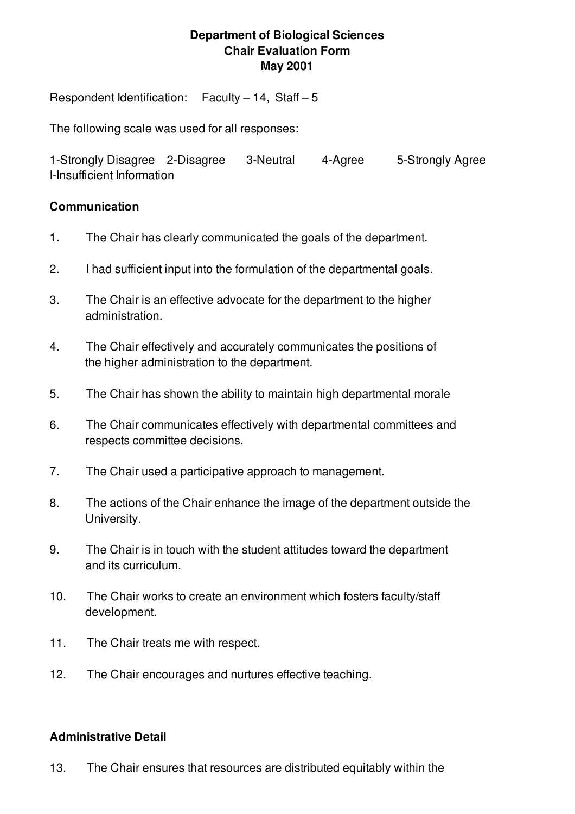## **Department of Biological Sciences Chair Evaluation Form May 2001**

Respondent Identification: Faculty  $-14$ , Staff  $-5$ 

The following scale was used for all responses:

1-Strongly Disagree 2-Disagree 3-Neutral 4-Agree 5-Strongly Agree I-Insufficient Information

## **Communication**

- 1. The Chair has clearly communicated the goals of the department.
- 2. I had sufficient input into the formulation of the departmental goals.
- 3. The Chair is an effective advocate for the department to the higher administration.
- 4. The Chair effectively and accurately communicates the positions of the higher administration to the department.
- 5. The Chair has shown the ability to maintain high departmental morale
- 6. The Chair communicates effectively with departmental committees and respects committee decisions.
- 7. The Chair used a participative approach to management.
- 8. The actions of the Chair enhance the image of the department outside the University.
- 9. The Chair is in touch with the student attitudes toward the department and its curriculum.
- 10. The Chair works to create an environment which fosters faculty/staff development.
- 11. The Chair treats me with respect.
- 12. The Chair encourages and nurtures effective teaching.

## **Administrative Detail**

13. The Chair ensures that resources are distributed equitably within the